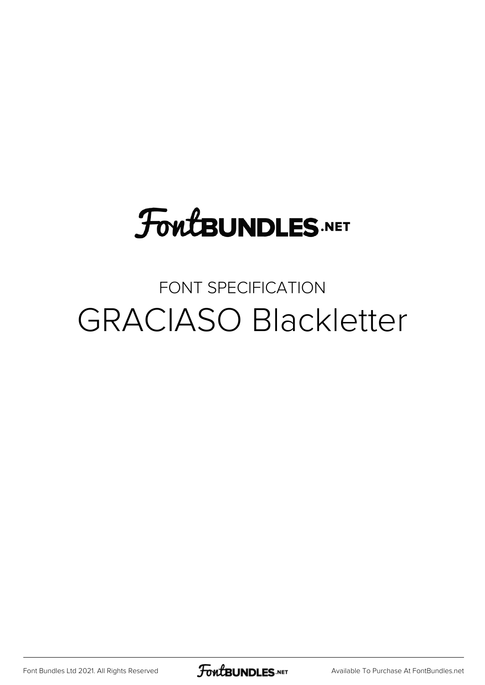# **FoutBUNDLES.NET**

### FONT SPECIFICATION GRACIASO Blackletter

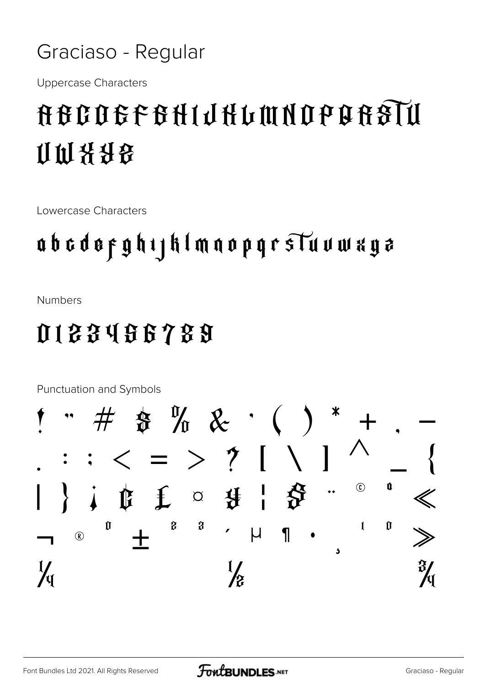Graciaso - Regular

**Uppercase Characters** 

# **NEGOGE GHIJHLIM NO BEGIU** 计时装分段

Lowercase Characters

## abcdoeghijklmaopqrsTuvwxyz

**Numbers** 

#### 0133456789

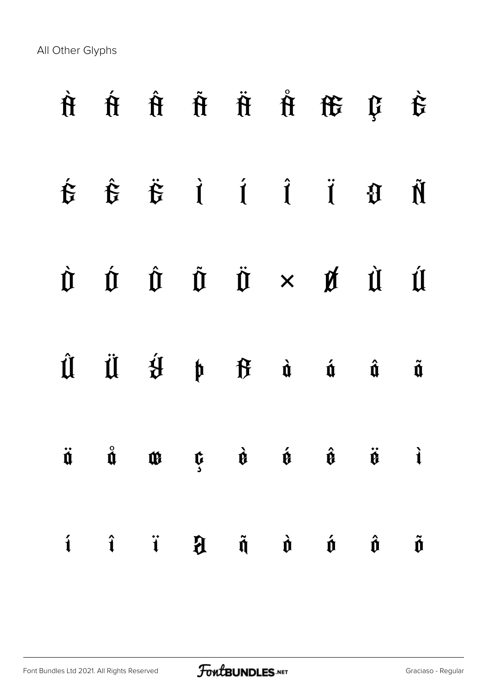All Other Glyphs

|                 |  |                                              | $\hat{H} \quad \hat{H} \quad \hat{H} \quad \hat{H} \quad \hat{H} \quad \hat{H} \quad \hat{H} \quad \hat{H}$                                                                                                                                                                                                                                                                                                                                                                               |                         |                      |
|-----------------|--|----------------------------------------------|-------------------------------------------------------------------------------------------------------------------------------------------------------------------------------------------------------------------------------------------------------------------------------------------------------------------------------------------------------------------------------------------------------------------------------------------------------------------------------------------|-------------------------|----------------------|
|                 |  |                                              | $\begin{array}{ccccccccccccc}\n\hat{\mathbf{t}} & \hat{\mathbf{t}} & \hat{\mathbf{t}} & \hat{\mathbf{t}} & \hat{\mathbf{t}} & \hat{\mathbf{t}} & \hat{\mathbf{t}} & \hat{\mathbf{t}} & \hat{\mathbf{t}} & \hat{\mathbf{t}} & \hat{\mathbf{t}} & \hat{\mathbf{t}} & \hat{\mathbf{t}} & \hat{\mathbf{t}} & \hat{\mathbf{t}} & \hat{\mathbf{t}} & \hat{\mathbf{t}} & \hat{\mathbf{t}} & \hat{\mathbf{t}} & \hat{\mathbf{t}} & \hat{\mathbf{t}} & \hat{\mathbf{t}} & \hat{\mathbf{t}} & \hat$ |                         |                      |
|                 |  |                                              | $\begin{array}{ccccccccccccccccc} \hat{U} & \hat{U} & \hat{U} & \hat{U} & \hat{U} & \times & \hat{U} & \hat{U} & \hat{U} & \hat{U} & \end{array}$                                                                                                                                                                                                                                                                                                                                         |                         |                      |
|                 |  |                                              | $\hat{\mathfrak{U}}\quad \  \  \, \ddot{\mathfrak{U}}\quad \  \, \hat{\mathfrak{U}}\qquad \, \mathfrak{h}\quad \  \  \, \mathfrak{h}\qquad \, \mathfrak{f}\qquad \  \  \, \dot{\mathfrak{u}}\qquad \  \  \, \dot{\mathfrak{u}}\qquad \  \, \dot{\mathfrak{u}}\qquad \  \, \dot{\mathfrak{u}}\qquad \qquad \, \dot{\mathfrak{u}}\qquad \qquad \, \dot{\mathfrak{u}}\qquad \qquad \, \dot{\mathfrak{u}}\qquad \qquad \, \dot{\mathfrak{u}}\qquad \qquad$                                    |                         | $\tilde{\mathbf{u}}$ |
|                 |  |                                              | $\ddot{\mathbf{u}}\quad\mathring{\mathbf{u}}\quad\mathring{\mathbf{u}}\quad\mathring{\mathbf{u}}\quad\mathring{\mathbf{u}}\quad\mathring{\mathbf{u}}\quad\mathring{\mathbf{u}}\quad\mathring{\mathbf{u}}\quad\mathring{\mathbf{u}}\quad\mathring{\mathbf{u}}$                                                                                                                                                                                                                             |                         |                      |
| $i \hat{i}$ $i$ |  | $\mathfrak{H}$ $\mathfrak{h}$ $\mathfrak{d}$ | $\mathbf{\acute{v}}$                                                                                                                                                                                                                                                                                                                                                                                                                                                                      | $\hat{\mathbf{\theta}}$ | $\tilde{\mathbf{0}}$ |